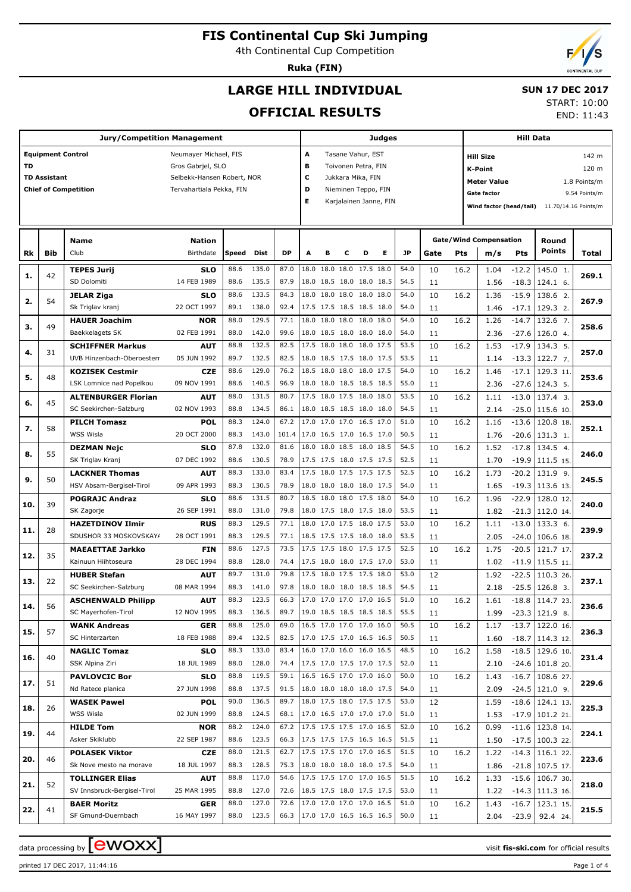4th Continental Cup Competition

**Ruka (FIN)**

# **LARGE HILL INDIVIDUAL**

#### **SUN 17 DEC 2017**

START: 10:00 END: 11:43

# **OFFICIAL RESULTS**

| <b>Jury/Competition Management</b> |                          |                             |                            |       |       |           |   |   |   |                          | Judges |           |      |      |                                    | <b>Hill Data</b> |                                              |               |  |  |
|------------------------------------|--------------------------|-----------------------------|----------------------------|-------|-------|-----------|---|---|---|--------------------------|--------|-----------|------|------|------------------------------------|------------------|----------------------------------------------|---------------|--|--|
|                                    | <b>Equipment Control</b> |                             | Neumayer Michael, FIS      |       |       |           | Α |   |   | Tasane Vahur, EST        |        |           |      |      | <b>Hill Size</b>                   |                  |                                              | 142 m         |  |  |
| TD                                 |                          |                             | Gros Gabrjel, SLO          |       |       |           | в |   |   | Toivonen Petra, FIN      |        |           |      |      | 120 m<br><b>K-Point</b>            |                  |                                              |               |  |  |
|                                    | <b>TD Assistant</b>      |                             | Selbekk-Hansen Robert, NOR |       |       |           | c |   |   | Jukkara Mika, FIN        |        |           |      |      | <b>Meter Value</b><br>1.8 Points/m |                  |                                              |               |  |  |
|                                    |                          | <b>Chief of Competition</b> | Tervahartiala Pekka, FIN   |       |       |           | D |   |   | Nieminen Teppo, FIN      |        |           |      |      | <b>Gate factor</b>                 |                  |                                              | 9.54 Points/m |  |  |
|                                    |                          |                             |                            |       |       |           | E |   |   | Karjalainen Janne, FIN   |        |           |      |      |                                    |                  | Wind factor (head/tail) 11.70/14.16 Points/m |               |  |  |
|                                    |                          |                             |                            |       |       |           |   |   |   |                          |        |           |      |      |                                    |                  |                                              |               |  |  |
|                                    |                          |                             |                            |       |       |           |   |   |   |                          |        |           |      |      |                                    |                  |                                              |               |  |  |
|                                    |                          | <b>Name</b>                 | <b>Nation</b>              |       |       |           |   |   |   |                          |        |           |      |      | <b>Gate/Wind Compensation</b>      |                  | Round                                        |               |  |  |
| Rk                                 | Bib                      | Club                        | Birthdate                  | Speed | Dist  | <b>DP</b> | A | в | с | D                        | Е      | <b>JP</b> | Gate | Pts  | m/s                                | Pts              | Points                                       | Total         |  |  |
|                                    |                          |                             |                            | 88.6  | 135.0 | 87.0      |   |   |   | 18.0 18.0 18.0 17.5 18.0 |        | 54.0      |      |      |                                    |                  |                                              |               |  |  |
| 1.                                 | 42                       | <b>TEPES Jurij</b>          | <b>SLO</b>                 |       |       |           |   |   |   |                          |        |           | 10   | 16.2 | 1.04                               | $-12.2$          | 145.0 1.                                     | 269.1         |  |  |
|                                    |                          | SD Dolomiti                 | 14 FEB 1989                | 88.6  | 135.5 | 87.9      |   |   |   | 18.0 18.5 18.0 18.0 18.5 |        | 54.5      | 11   |      | 1.56                               | $-18.3$          | 124.1 6.                                     |               |  |  |
| 2.                                 | 54                       | <b>JELAR Ziga</b>           | <b>SLO</b>                 | 88.6  | 133.5 | 84.3      |   |   |   | 18.0 18.0 18.0 18.0 18.0 |        | 54.0      | 10   | 16.2 | 1.36                               | $-15.9$          | 138.6 2.                                     | 267.9         |  |  |
|                                    |                          | Sk Triglav kranj            | 22 OCT 1997                | 89.1  | 138.0 | 92.4      |   |   |   | 17.5 17.5 18.5 18.5 18.0 |        | 54.0      | 11   |      | 1.46                               | $-17.1$          | 129.3 2.                                     |               |  |  |
| з.                                 | 49                       | <b>HAUER Joachim</b>        | <b>NOR</b>                 | 88.0  | 129.5 | 77.1      |   |   |   | 18.0 18.0 18.0 18.0 18.0 |        | 54.0      | 10   | 16.2 | 1.26                               | $-14.7$          | 132.6 7.                                     | 258.6         |  |  |
|                                    |                          | Baekkelagets SK             | 02 FEB 1991                | 88.0  | 142.0 | 99.6      |   |   |   | 18.0 18.5 18.0 18.0 18.0 |        | 54.0      | 11   |      | 2.36                               | $-27.6$          | 126.0 4.                                     |               |  |  |
| 4.                                 | 31                       | <b>SCHIFFNER Markus</b>     | <b>AUT</b>                 | 88.8  | 132.5 | 82.5      |   |   |   | 17.5 18.0 18.0 18.0 17.5 |        | 53.5      | 10   | 16.2 | 1.53                               | $-17.9$          | 134.3 5.                                     | 257.0         |  |  |
|                                    |                          | UVB Hinzenbach-Oberoesterr  | 05 JUN 1992                | 89.7  | 132.5 | 82.5      |   |   |   | 18.0 18.5 17.5 18.0 17.5 |        | 53.5      | 11   |      | 1.14                               | $-13.3$          | 122.7 7.                                     |               |  |  |
| 5.                                 | 48                       | <b>KOZISEK Cestmir</b>      | <b>CZE</b>                 | 88.6  | 129.0 | 76.2      |   |   |   | 18.5 18.0 18.0 18.0 17.5 |        | 54.0      | 10   | 16.2 | 1.46                               | $-17.1$          | 129.3 11.                                    | 253.6         |  |  |
|                                    |                          | LSK Lomnice nad Popelkou    | 09 NOV 1991                | 88.6  | 140.5 | 96.9      |   |   |   | 18.0 18.0 18.5 18.5 18.5 |        | 55.0      | 11   |      | 2.36                               | $-27.6$          | 124.3 5.                                     |               |  |  |
| 6.                                 | 45                       | <b>ALTENBURGER Florian</b>  | <b>AUT</b>                 | 88.0  | 131.5 | 80.7      |   |   |   | 17.5 18.0 17.5 18.0 18.0 |        | 53.5      | 10   | 16.2 | 1.11                               | $-13.0$          | 137.4 3.                                     | 253.0         |  |  |
|                                    |                          | SC Seekirchen-Salzburg      | 02 NOV 1993                | 88.8  | 134.5 | 86.1      |   |   |   | 18.0 18.5 18.5 18.0 18.0 |        | 54.5      | 11   |      | 2.14                               | $-25.0$          | 115.6 10.                                    |               |  |  |
| 7.                                 | 58                       | <b>PILCH Tomasz</b>         | <b>POL</b>                 | 88.3  | 124.0 | 67.2      |   |   |   | 17.0 17.0 17.0 16.5 17.0 |        | 51.0      | 10   | 16.2 | 1.16                               | $-13.6$          | 120.8 18.                                    | 252.1         |  |  |
|                                    |                          | WSS Wisla                   | 20 OCT 2000                | 88.3  | 143.0 | 101.4     |   |   |   | 17.0 16.5 17.0 16.5 17.0 |        | 50.5      | 11   |      | 1.76                               | $-20.6$          | 131.3 1.                                     |               |  |  |
| 8.                                 | 55                       | <b>DEZMAN Nejc</b>          | <b>SLO</b>                 | 87.8  | 132.0 | 81.6      |   |   |   | 18.0 18.0 18.5 18.0 18.5 |        | 54.5      | 10   | 16.2 | 1.52                               | $-17.8$          | 134.5 4.                                     | 246.0         |  |  |
|                                    |                          | SK Triglav Kranj            | 07 DEC 1992                | 88.6  | 130.5 | 78.9      |   |   |   | 17.5 17.5 18.0 17.5 17.5 |        | 52.5      | 11   |      | 1.70                               | $-19.9$          | 111.5 15.                                    |               |  |  |
| 9.                                 | 50                       | <b>LACKNER Thomas</b>       | <b>AUT</b>                 | 88.3  | 133.0 | 83.4      |   |   |   | 17.5 18.0 17.5 17.5 17.5 |        | 52.5      | 10   | 16.2 | 1.73                               | $-20.2$          | 131.9 9.                                     | 245.5         |  |  |
|                                    |                          | HSV Absam-Bergisel-Tirol    | 09 APR 1993                | 88.3  | 130.5 | 78.9      |   |   |   | 18.0 18.0 18.0 18.0 17.5 |        | 54.0      | 11   |      | 1.65                               | $-19.3$          | 113.6 13.                                    |               |  |  |
|                                    | 39                       | <b>POGRAJC Andraz</b>       | <b>SLO</b>                 | 88.6  | 131.5 | 80.7      |   |   |   | 18.5 18.0 18.0 17.5 18.0 |        | 54.0      | 10   | 16.2 | 1.96                               | $-22.9$          | 128.0 12.                                    | 240.0         |  |  |
| 10.                                |                          | SK Zagorje                  | 26 SEP 1991                | 88.0  | 131.0 | 79.8      |   |   |   | 18.0 17.5 18.0 17.5 18.0 |        | 53.5      | 11   |      | 1.82                               | $-21.3$          | 112.0 14.                                    |               |  |  |
|                                    |                          | <b>HAZETDINOV Ilmir</b>     | <b>RUS</b>                 | 88.3  | 129.5 | 77.1      |   |   |   | 18.0 17.0 17.5 18.0 17.5 |        | 53.0      | 10   | 16.2 | 1.11                               | $-13.0$          | 133.36.                                      |               |  |  |
| 11.                                | 28                       | SDUSHOR 33 MOSKOVSKAY/      | 28 OCT 1991                | 88.3  | 129.5 | 77.1      |   |   |   | 18.5 17.5 17.5 18.0 18.0 |        | 53.5      | 11   |      | 2.05                               | $-24.0$          | 106.6 18.                                    | 239.9         |  |  |
|                                    |                          | <b>MAEAETTAE Jarkko</b>     | <b>FIN</b>                 | 88.6  | 127.5 | 73.5      |   |   |   | 17.5 17.5 18.0 17.5 17.5 |        | 52.5      | 10   | 16.2 | 1.75                               | $-20.5$          | 121.7 17.                                    |               |  |  |
| 12.                                | 35                       | Kainuun Hiihtoseura         | 28 DEC 1994                | 88.8  | 128.0 | 74.4      |   |   |   | 17.5 18.0 18.0 17.5 17.0 |        | 53.0      | 11   |      | 1.02                               | $-11.9$          | 115.5 11.                                    | 237.2         |  |  |
|                                    |                          | <b>HUBER Stefan</b>         | <b>AUT</b>                 | 89.7  | 131.0 | 79.8      |   |   |   | 17.5 18.0 17.5 17.5 18.0 |        | 53.0      | 12   |      | 1.92                               | $-22.5$          | 110.3 26.                                    |               |  |  |
| 13.                                | 22                       | SC Seekirchen-Salzburg      | 08 MAR 1994                | 88.3  | 141.0 | 97.8      |   |   |   | 18.0 18.0 18.0 18.5 18.5 |        | 54.5      | 11   |      | 2.18                               | $-25.5$          | 126.8 3.                                     | 237.1         |  |  |
|                                    |                          | <b>ASCHENWALD Philipp</b>   | <b>AUT</b>                 | 88.3  | 123.5 | 66.3      |   |   |   | 17.0 17.0 17.0 17.0 16.5 |        | 51.0      | 10   | 16.2 | 1.61                               | $-18.8$          | 114.7 23.                                    |               |  |  |
| 14.                                | 56                       | SC Mayerhofen-Tirol         | 12 NOV 1995                | 88.3  | 136.5 | 89.7      |   |   |   | 19.0 18.5 18.5 18.5 18.5 |        | 55.5      | 11   |      | 1.99                               |                  | $-23.3$   121.9 8.                           | 236.6         |  |  |
|                                    |                          | <b>WANK Andreas</b>         | GER                        | 88.8  | 125.0 | 69.0      |   |   |   | 16.5 17.0 17.0 17.0 16.0 |        | 50.5      | 10   | 16.2 | 1.17                               | $-13.7$          | 122.0 16.                                    |               |  |  |
| 15.                                | 57                       | SC Hinterzarten             | 18 FEB 1988                | 89.4  | 132.5 | 82.5      |   |   |   | 17.0 17.5 17.0 16.5 16.5 |        | 50.5      | 11   |      | 1.60                               |                  | $-18.7$   114.3 12.                          | 236.3         |  |  |
|                                    |                          | <b>NAGLIC Tomaz</b>         | <b>SLO</b>                 | 88.3  | 133.0 | 83.4      |   |   |   | 16.0 17.0 16.0 16.0 16.5 |        | 48.5      | 10   | 16.2 | 1.58                               | $-18.5$          | $129.6$ 10.                                  |               |  |  |
| 16.                                | 40                       | SSK Alpina Ziri             | 18 JUL 1989                | 88.0  | 128.0 | 74.4      |   |   |   | 17.5 17.0 17.5 17.0 17.5 |        | 52.0      | 11   |      | 2.10                               |                  | $-24.6$   101.8 20.                          | 231.4         |  |  |
|                                    |                          | <b>PAVLOVCIC Bor</b>        | <b>SLO</b>                 | 88.8  | 119.5 | 59.1      |   |   |   | 16.5 16.5 17.0 17.0 16.0 |        | 50.0      | 10   | 16.2 | 1.43                               | $-16.7$          | 108.6 27.                                    |               |  |  |
| 17.                                | 51                       | Nd Ratece planica           | 27 JUN 1998                | 88.8  | 137.5 | 91.5      |   |   |   | 18.0 18.0 18.0 18.0 17.5 |        | 54.0      | 11   |      | 2.09                               |                  | $-24.5$   121.0 9.                           | 229.6         |  |  |
|                                    |                          | <b>WASEK Pawel</b>          | <b>POL</b>                 | 90.0  | 136.5 | 89.7      |   |   |   | 18.0 17.5 18.0 17.5 17.5 |        | 53.0      | 12   |      | 1.59                               | $-18.6$          | 124.1 13.                                    |               |  |  |
| 18.                                | 26                       | WSS Wisla                   | 02 JUN 1999                | 88.8  | 124.5 | 68.1      |   |   |   | 17.0 16.5 17.0 17.0 17.0 |        | 51.0      | 11   |      | 1.53                               |                  | $-17.9$ 101.2 21.                            | 225.3         |  |  |
|                                    |                          | <b>HILDE Tom</b>            | <b>NOR</b>                 | 88.2  | 124.0 | 67.2      |   |   |   | 17.5 17.5 17.5 17.0 16.5 |        | 52.0      | 10   | 16.2 | 0.99                               | $-11.6$          | 123.8 14.                                    |               |  |  |
| 19.                                | 44                       | Asker Skiklubb              | 22 SEP 1987                | 88.6  | 123.5 | 66.3      |   |   |   | 17.5 17.5 17.5 16.5 16.5 |        | 51.5      | 11   |      | 1.50                               |                  | $-17.5$ 100.3 22.                            | 224.1         |  |  |
|                                    |                          | <b>POLASEK Viktor</b>       | <b>CZE</b>                 | 88.0  | 121.5 | 62.7      |   |   |   | 17.5 17.5 17.0 17.0 16.5 |        | 51.5      | 10   | 16.2 | 1.22                               | $-14.3$          | 116.1 22.                                    |               |  |  |
| 20.                                | 46                       | Sk Nove mesto na morave     | 18 JUL 1997                | 88.3  | 128.5 | 75.3      |   |   |   | 18.0 18.0 18.0 18.0 17.5 |        | 54.0      | 11   |      | 1.86                               |                  | $-21.8$   107.5 17.                          | 223.6         |  |  |
|                                    |                          | <b>TOLLINGER Elias</b>      | <b>AUT</b>                 | 88.8  | 117.0 | 54.6      |   |   |   | 17.5 17.5 17.0 17.0 16.5 |        | 51.5      | 10   | 16.2 | 1.33                               | $-15.6$          | 106.730.                                     |               |  |  |
| 21.                                | 52                       | SV Innsbruck-Bergisel-Tirol | 25 MAR 1995                | 88.8  | 127.0 | 72.6      |   |   |   | 18.5 17.5 18.0 17.5 17.5 |        | 53.0      | 11   |      | 1.22                               |                  | $-14.3$ 111.3 16.                            | 218.0         |  |  |
|                                    |                          | <b>BAER Moritz</b>          | <b>GER</b>                 | 88.0  | 127.0 | 72.6      |   |   |   | 17.0 17.0 17.0 17.0 16.5 |        | 51.0      | 10   | 16.2 | 1.43                               | $-16.7$          | 123.1 15.                                    |               |  |  |
| 22.                                | 41                       | SF Gmund-Duernbach          | 16 MAY 1997                | 88.0  | 123.5 | 66.3      |   |   |   | 17.0 17.0 16.5 16.5 16.5 |        | 50.0      | 11   |      | 2.04                               | $-23.9$          | 92.4 24.                                     | 215.5         |  |  |
|                                    |                          |                             |                            |       |       |           |   |   |   |                          |        |           |      |      |                                    |                  |                                              |               |  |  |

data processing by **CWOXX**  $\blacksquare$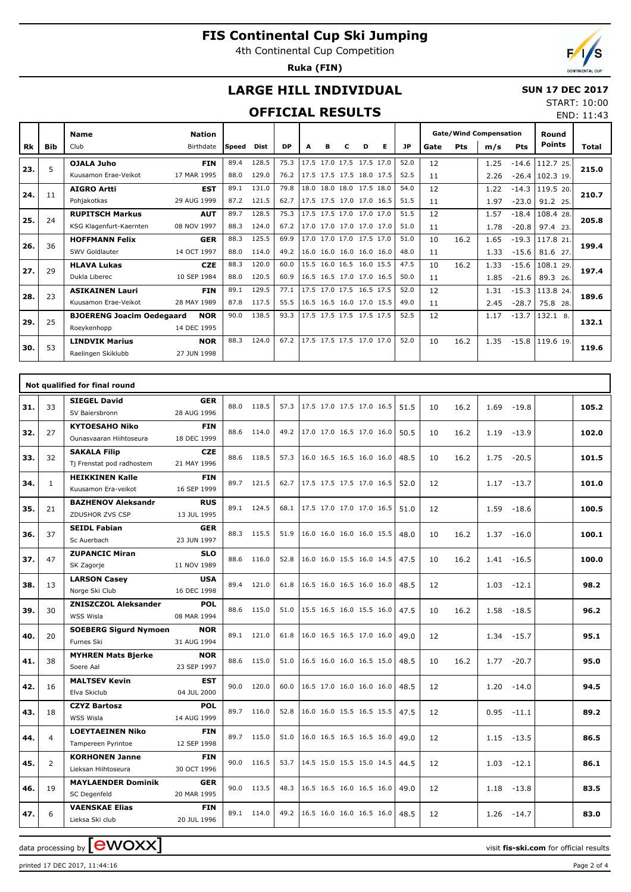4th Continental Cup Competition

**Ruka (FIN)**

END: 11:43

# **LARGE HILL INDIVIDUAL**

#### **SUN 17 DEC 2017** START: 10:00

### **OFFICIAL RESULTS**

|     |            | <b>Name</b>                      | <b>Nation</b> |              |             |           |      |   |                          |   |   |           |      |      | <b>Gate/Wind Compensation</b> |            | Round               |       |
|-----|------------|----------------------------------|---------------|--------------|-------------|-----------|------|---|--------------------------|---|---|-----------|------|------|-------------------------------|------------|---------------------|-------|
| Rk  | <b>Bib</b> | Club                             | Birthdate     | <b>Speed</b> | <b>Dist</b> | <b>DP</b> | А    | в | с                        | D | Е | <b>JP</b> | Gate | Pts  | m/s                           | <b>Pts</b> | <b>Points</b>       | Total |
|     | 5          | <b>OJALA Juho</b>                | <b>FIN</b>    | 89.4         | 128.5       | 75.3      | 17.5 |   | 17.0 17.5 17.5 17.0      |   |   | 52.0      | 12   |      | 1.25                          | $-14.6$    | 112.7 25.           |       |
| 23. |            | Kuusamon Erae-Veikot             | 17 MAR 1995   | 88.0         | 129.0       | 76.2      |      |   | 17.5 17.5 17.5 18.0 17.5 |   |   | 52.5      | 11   |      | 2.26                          |            | $-26.4$   102.3 19. | 215.0 |
| 24. | 11         | <b>AIGRO Artti</b>               | <b>EST</b>    | 89.1         | 131.0       | 79.8      |      |   | 18.0 18.0 18.0 17.5 18.0 |   |   | 54.0      | 12   |      | 1.22                          | $-14.3$    | 119.5 20.           | 210.7 |
|     |            | Pohiakotkas                      | 29 AUG 1999   | 87.2         | 121.5       | 62.7      |      |   | 17.5 17.5 17.0 17.0 16.5 |   |   | 51.5      | 11   |      | 1.97                          | $-23.0$    | 91.2 25.            |       |
| 25. | 24         | <b>RUPITSCH Markus</b>           | <b>AUT</b>    | 89.7         | 128.5       | 75.3      |      |   | 17.5 17.5 17.0 17.0 17.0 |   |   | 51.5      | 12   |      | 1.57                          | $-18.4$    | 108.4 28.           | 205.8 |
|     |            | KSG Klagenfurt-Kaernten          | 08 NOV 1997   | 88.3         | 124.0       | 67.2      |      |   | 17.0 17.0 17.0 17.0 17.0 |   |   | 51.0      | 11   |      | 1.78                          | $-20.8$    | 97.4 23.            |       |
| 26. | 36         | <b>HOFFMANN Felix</b>            | <b>GER</b>    | 88.3         | 125.5       | 69.9      |      |   | 17.0 17.0 17.0 17.5 17.0 |   |   | 51.0      | 10   | 16.2 | 1.65                          | $-19.3$    | 117.8 21.           | 199.4 |
|     |            | SWV Goldlauter                   | 14 OCT 1997   | 88.0         | 114.0       | 49.2      |      |   | 16.0 16.0 16.0 16.0 16.0 |   |   | 48.0      | 11   |      | 1.33                          | $-15.6$    | 81.6 27.            |       |
| 27. | 29         | <b>HLAVA Lukas</b>               | <b>CZE</b>    | 88.3         | 120.0       | 60.0      |      |   | 15.5 16.0 16.5 16.0 15.5 |   |   | 47.5      | 10   | 16.2 | 1.33                          | $-15.6$    | 108.1 29.           | 197.4 |
|     |            | Dukla Liberec                    | 10 SEP 1984   | 88.0         | 120.5       | 60.9      |      |   | 16.5 16.5 17.0 17.0 16.5 |   |   | 50.0      | 11   |      | 1.85                          | $-21.6$    | 89.3<br>26.         |       |
| 28. | 23         | <b>ASIKAINEN Lauri</b>           | <b>FIN</b>    | 89.1         | 129.5       | 77.1      |      |   | 17.5 17.0 17.5 16.5 17.5 |   |   | 52.0      | 12   |      | 1.31                          | $-15.3$    | 113.8 24.           | 189.6 |
|     |            | Kuusamon Erae-Veikot             | 28 MAY 1989   | 87.8         | 117.5       | 55.5      |      |   | 16.5 16.5 16.0 17.0 15.5 |   |   | 49.0      | 11   |      | 2.45                          | $-28.7$    | 75.8<br>28.         |       |
| 29. | 25         | <b>BJOERENG Joacim Oedegaard</b> | <b>NOR</b>    | 90.0         | 138.5       | 93.3      |      |   | 17.5 17.5 17.5 17.5 17.5 |   |   | 52.5      | 12   |      | 1.17                          | $-13.7$    | $132.1$ 8.          | 132.1 |
|     |            | Roevkenhopp                      | 14 DEC 1995   |              |             |           |      |   |                          |   |   |           |      |      |                               |            |                     |       |
| 30. | 53         | <b>LINDVIK Marius</b>            | <b>NOR</b>    | 88.3         | 124.0       | 67.2      |      |   | 17.5 17.5 17.5 17.0 17.0 |   |   | 52.0      | 10   | 16.2 | 1.35                          | $-15.8$    | 119.6 19.           | 119.6 |
|     |            | Raelingen Skiklubb               | 27 JUN 1998   |              |             |           |      |   |                          |   |   |           |      |      |                               |            |                     |       |

|     |              | Not qualified for final round            |                           |      |            |      |                          |  |      |    |      |               |         |       |
|-----|--------------|------------------------------------------|---------------------------|------|------------|------|--------------------------|--|------|----|------|---------------|---------|-------|
| 31. | 33           | <b>SIEGEL David</b>                      | <b>GER</b>                |      | 88.0 118.5 | 57.3 | 17.5 17.0 17.5 17.0 16.5 |  | 51.5 | 10 | 16.2 | 1.69          | $-19.8$ | 105.2 |
|     |              | SV Baiersbronn                           | 28 AUG 1996               |      |            |      |                          |  |      |    |      |               |         |       |
| 32. | 27           | <b>KYTOESAHO Niko</b>                    | <b>FIN</b>                | 88.6 | 114.0      | 49.2 | 17.0 17.0 16.5 17.0 16.0 |  | 50.5 | 10 | 16.2 | 1.19          | $-13.9$ | 102.0 |
|     |              | Ounasyaaran Hiihtoseura                  | 18 DEC 1999               |      |            |      |                          |  |      |    |      |               |         |       |
| 33. | 32           | <b>SAKALA Filip</b>                      | <b>CZE</b>                |      | 88.6 118.5 | 57.3 | 16.0 16.5 16.5 16.0 16.0 |  | 48.5 | 10 | 16.2 | 1.75          | $-20.5$ | 101.5 |
|     |              | Tj Frenstat pod radhostem                | 21 MAY 1996               |      |            |      |                          |  |      |    |      |               |         |       |
| 34. | $\mathbf{1}$ | <b>HEIKKINEN Kalle</b>                   | <b>FIN</b>                |      | 89.7 121.5 | 62.7 | 17.5 17.5 17.5 17.0 16.5 |  | 52.0 | 12 |      | $1.17 - 13.7$ |         | 101.0 |
|     |              | Kuusamon Era-veikot                      | 16 SEP 1999               |      |            |      |                          |  |      |    |      |               |         |       |
| 35. | 21           | <b>BAZHENOV Aleksandr</b>                | <b>RUS</b>                |      | 89.1 124.5 | 68.1 | 17.5 17.0 17.0 17.0 16.5 |  | 51.0 | 12 |      | 1.59          | $-18.6$ | 100.5 |
|     |              | ZDUSHOR ZVS CSP                          | 13 JUL 1995               |      |            |      |                          |  |      |    |      |               |         |       |
| 36. | 37           | <b>SEIDL Fabian</b>                      | <b>GER</b>                |      | 88.3 115.5 | 51.9 | 16.0 16.0 16.0 16.0 15.5 |  | 48.0 | 10 | 16.2 | 1.37          | $-16.0$ | 100.1 |
|     |              | Sc Auerbach                              | 23 JUN 1997               |      |            |      |                          |  |      |    |      |               |         |       |
| 37. | 47           | <b>ZUPANCIC Miran</b>                    | <b>SLO</b><br>11 NOV 1989 |      | 88.6 116.0 | 52.8 | 16.0 16.0 15.5 16.0 14.5 |  | 47.5 | 10 | 16.2 | 1.41          | $-16.5$ | 100.0 |
|     |              | SK Zagorje                               | <b>USA</b>                |      |            |      |                          |  |      |    |      |               |         |       |
| 38. | 13           | <b>LARSON Casey</b><br>Norge Ski Club    | 16 DEC 1998               | 89.4 | 121.0      | 61.8 | 16.5 16.0 16.5 16.0 16.0 |  | 48.5 | 12 |      | 1.03          | $-12.1$ | 98.2  |
|     |              | <b>ZNISZCZOL Aleksander</b>              | <b>POL</b>                |      |            |      |                          |  |      |    |      |               |         |       |
| 39. | 30           | WSS Wisla                                | 08 MAR 1994               | 88.6 | 115.0      | 51.0 | 15.5 16.5 16.0 15.5 16.0 |  | 47.5 | 10 | 16.2 | 1.58          | $-18.5$ | 96.2  |
|     |              | <b>SOEBERG Sigurd Nymoen</b>             | <b>NOR</b>                |      |            |      |                          |  |      |    |      |               |         |       |
| 40. | 20           | Furnes Ski                               | 31 AUG 1994               |      | 89.1 121.0 | 61.8 | 16.0 16.5 16.5 17.0 16.0 |  | 49.0 | 12 |      | 1.34          | $-15.7$ | 95.1  |
| 41. | 38           | <b>MYHREN Mats Bjerke</b>                | <b>NOR</b>                |      | 88.6 115.0 | 51.0 | 16.5 16.0 16.0 16.5 15.0 |  | 48.5 | 10 | 16.2 | 1.77          | $-20.7$ | 95.0  |
|     |              | Soere Aal                                | 23 SEP 1997               |      |            |      |                          |  |      |    |      |               |         |       |
| 42. | 16           | <b>MALTSEV Kevin</b>                     | <b>EST</b>                |      | 90.0 120.0 | 60.0 | 16.5 17.0 16.0 16.0 16.0 |  | 48.5 | 12 |      | 1.20          | $-14.0$ | 94.5  |
|     |              | Elva Skiclub                             | 04 JUL 2000               |      |            |      |                          |  |      |    |      |               |         |       |
| 43. | 18           | <b>CZYZ Bartosz</b>                      | <b>POL</b>                |      | 89.7 116.0 | 52.8 | 16.0 16.0 15.5 16.5 15.5 |  | 47.5 | 12 |      | $0.95 - 11.1$ |         | 89.2  |
|     |              | WSS Wisla                                | 14 AUG 1999               |      |            |      |                          |  |      |    |      |               |         |       |
| 44. | 4            | <b>LOEYTAEINEN Niko</b>                  | <b>FIN</b>                |      | 89.7 115.0 | 51.0 | 16.0 16.5 16.5 16.5 16.0 |  | 49.0 | 12 |      | $1.15 - 13.5$ |         | 86.5  |
|     |              | Tampereen Pyrintoe                       | 12 SEP 1998               |      |            |      |                          |  |      |    |      |               |         |       |
| 45. | 2            | <b>KORHONEN Janne</b>                    | <b>FIN</b>                |      | 90.0 116.5 | 53.7 | 14.5 15.0 15.5 15.0 14.5 |  | 44.5 | 12 |      | 1.03          | $-12.1$ | 86.1  |
|     |              | Lieksan Hiihtoseura                      | 30 OCT 1996               |      |            |      |                          |  |      |    |      |               |         |       |
| 46. | 19           | <b>MAYLAENDER Dominik</b>                | <b>GER</b>                |      | 90.0 113.5 | 48.3 | 16.5 16.5 16.0 16.5 16.0 |  | 49.0 | 12 |      | 1.18          | $-13.8$ | 83.5  |
|     |              | SC Degenfeld                             | 20 MAR 1995               |      |            |      |                          |  |      |    |      |               |         |       |
| 47. | 6            | <b>VAENSKAE Elias</b><br>Lieksa Ski club | <b>FIN</b><br>20 JUL 1996 |      | 89.1 114.0 | 49.2 | 16.5 16.0 16.0 16.5 16.0 |  | 48.5 | 12 |      | 1.26          | $-14.7$ | 83.0  |
|     |              |                                          |                           |      |            |      |                          |  |      |    |      |               |         |       |

data processing by **CWOXX**  $\blacksquare$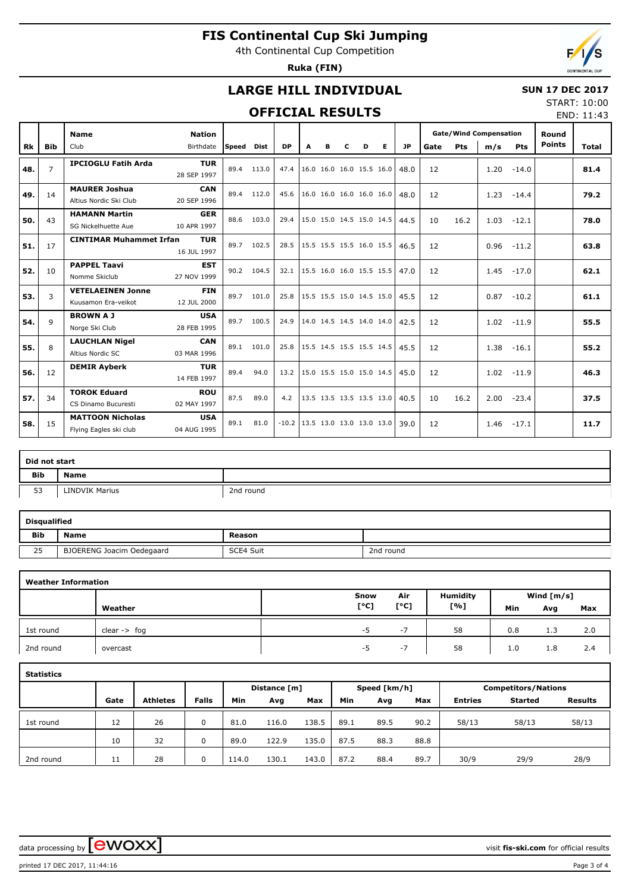4th Continental Cup Competition

**Ruka (FIN)**



### **LARGE HILL INDIVIDUAL**

#### **SUN 17 DEC 2017**

#### **OFFICIAL RESULTS**

START: 10:00 END: 11:43

|           |                | <b>Name</b>                    | <b>Nation</b> |       |            |           |                          |                          |   |   |                          |      |      |            | <b>Gate/Wind Compensation</b> |            | Round         |       |
|-----------|----------------|--------------------------------|---------------|-------|------------|-----------|--------------------------|--------------------------|---|---|--------------------------|------|------|------------|-------------------------------|------------|---------------|-------|
| <b>Rk</b> | <b>Bib</b>     | Club                           | Birthdate     | Speed | Dist       | <b>DP</b> | A                        | в                        | с | D | Е                        | JP   | Gate | <b>Pts</b> | m/s                           | <b>Pts</b> | <b>Points</b> | Total |
| 48.       | $\overline{7}$ | <b>IPCIOGLU Fatih Arda</b>     | <b>TUR</b>    | 89.4  | 113.0      | 47.4      |                          | 16.0 16.0 16.0 15.5 16.0 |   |   |                          | 48.0 | 12   |            | 1.20                          | $-14.0$    |               | 81.4  |
|           |                |                                | 28 SEP 1997   |       |            |           |                          |                          |   |   |                          |      |      |            |                               |            |               |       |
| 49.       | 14             | <b>MAURER Joshua</b>           | <b>CAN</b>    | 89.4  | 112.0      | 45.6      |                          | 16.0 16.0 16.0 16.0 16.0 |   |   |                          | 48.0 | 12   |            | 1.23                          | $-14.4$    |               | 79.2  |
|           |                | Altius Nordic Ski Club         | 20 SEP 1996   |       |            |           |                          |                          |   |   |                          |      |      |            |                               |            |               |       |
| 50.       | 43             | <b>HAMANN Martin</b>           | <b>GER</b>    | 88.6  | 103.0      | 29.4      |                          | 15.0 15.0 14.5 15.0 14.5 |   |   |                          | 44.5 | 10   | 16.2       | 1.03                          | $-12.1$    |               | 78.0  |
|           |                | SG Nickelhuette Aue            | 10 APR 1997   |       |            |           |                          |                          |   |   |                          |      |      |            |                               |            |               |       |
| 51.       | 17             | <b>CINTIMAR Muhammet Irfan</b> | <b>TUR</b>    | 89.7  | 102.5      | 28.5      |                          | 15.5 15.5 15.5 16.0 15.5 |   |   |                          | 46.5 | 12   |            | 0.96                          | $-11.2$    |               | 63.8  |
|           |                |                                | 16 JUL 1997   |       |            |           |                          |                          |   |   |                          |      |      |            |                               |            |               |       |
| 52.       | 10             | <b>PAPPEL Taavi</b>            | <b>EST</b>    |       | 90.2 104.5 | 32.1      | 15.5 16.0 16.0 15.5 15.5 |                          |   |   |                          | 47.0 | 12   |            | 1.45                          | $-17.0$    |               | 62.1  |
|           |                | Nomme Skiclub                  | 27 NOV 1999   |       |            |           |                          |                          |   |   |                          |      |      |            |                               |            |               |       |
| 53.       | 3              | <b>VETELAEINEN Jonne</b>       | <b>FIN</b>    | 89.7  | 101.0      | 25.8      |                          |                          |   |   | 15.5 15.5 15.0 14.5 15.0 | 45.5 | 12   |            | 0.87                          | $-10.2$    |               | 61.1  |
|           |                | Kuusamon Era-veikot            | 12 JUL 2000   |       |            |           |                          |                          |   |   |                          |      |      |            |                               |            |               |       |
| 54.       | $\mathsf{Q}$   | <b>BROWN A J</b>               | <b>USA</b>    | 89.7  | 100.5      | 24.9      |                          |                          |   |   | 14.0 14.5 14.5 14.0 14.0 | 42.5 | 12   |            | 1.02                          | $-11.9$    |               | 55.5  |
|           |                | Norge Ski Club                 | 28 FEB 1995   |       |            |           |                          |                          |   |   |                          |      |      |            |                               |            |               |       |
| 55.       | 8              | <b>LAUCHLAN Nigel</b>          | <b>CAN</b>    | 89.1  | 101.0      | 25.8      |                          | 15.5 14.5 15.5 15.5 14.5 |   |   |                          | 45.5 | 12   |            | 1.38                          | $-16.1$    |               | 55.2  |
|           |                | Altius Nordic SC               | 03 MAR 1996   |       |            |           |                          |                          |   |   |                          |      |      |            |                               |            |               |       |
| 56.       | 12             | <b>DEMIR Ayberk</b>            | <b>TUR</b>    | 89.4  | 94.0       | 13.2      |                          | 15.0 15.5 15.0 15.0 14.5 |   |   |                          | 45.0 | 12   |            | 1.02                          | $-11.9$    |               | 46.3  |
|           |                |                                | 14 FEB 1997   |       |            |           |                          |                          |   |   |                          |      |      |            |                               |            |               |       |
| 57.       | 34             | <b>TOROK Eduard</b>            | <b>ROU</b>    | 87.5  | 89.0       | 4.2       |                          | 13.5 13.5 13.5 13.5 13.0 |   |   |                          | 40.5 | 10   | 16.2       | 2.00                          | $-23.4$    |               | 37.5  |
|           |                | CS Dinamo Bucuresti            | 02 MAY 1997   |       |            |           |                          |                          |   |   |                          |      |      |            |                               |            |               |       |
| 58.       | 15             | <b>MATTOON Nicholas</b>        | <b>USA</b>    | 89.1  | 81.0       | $-10.2$   |                          | 13.5 13.0 13.0 13.0 13.0 |   |   |                          | 39.0 | 12   |            | 1.46                          | $-17.1$    |               | 11.7  |
|           |                | Flying Eagles ski club         | 04 AUG 1995   |       |            |           |                          |                          |   |   |                          |      |      |            |                               |            |               |       |

| Did not start |                       |           |
|---------------|-----------------------|-----------|
| <b>Bib</b>    | Name                  |           |
| 53            | <b>LINDVIK Marius</b> | 2nd round |

| <b>Disqualified</b> |                           |           |           |
|---------------------|---------------------------|-----------|-----------|
| <b>Bib</b>          | Name                      | Reason    |           |
| 25                  | BJOERENG Joacim Oedegaard | SCE4 Suit | 2nd round |

|           | <b>Weather Information</b> |      |      |                 |     |              |     |  |  |  |  |  |  |
|-----------|----------------------------|------|------|-----------------|-----|--------------|-----|--|--|--|--|--|--|
|           |                            | Snow | Air  | <b>Humidity</b> |     | Wind $[m/s]$ |     |  |  |  |  |  |  |
|           | Weather                    | [°C] | [°C] | [%]             | Min | Avg          | Max |  |  |  |  |  |  |
| 1st round | $clear \rightarrow fog$    | -5   | $-1$ | 58              | 0.8 | 1.3          | 2.0 |  |  |  |  |  |  |
| 2nd round | overcast                   | -5   | $-1$ | 58              | 1.0 | 1.8          | 2.4 |  |  |  |  |  |  |

| <b>Statistics</b> |      |                 |              |       |              |       |      |              |      |                            |         |                |  |  |  |
|-------------------|------|-----------------|--------------|-------|--------------|-------|------|--------------|------|----------------------------|---------|----------------|--|--|--|
|                   |      |                 |              |       | Distance [m] |       |      | Speed [km/h] |      | <b>Competitors/Nations</b> |         |                |  |  |  |
|                   | Gate | <b>Athletes</b> | <b>Falls</b> | Min   | Avg          | Max   | Min  | Avg          | Max  | <b>Entries</b>             | Started | <b>Results</b> |  |  |  |
| 1st round         | 12   | 26              | 0            | 81.0  | 116.0        | 138.5 | 89.1 | 89.5         | 90.2 | 58/13                      | 58/13   | 58/13          |  |  |  |
|                   | 10   | 32              | 0            | 89.0  | 122.9        | 135.0 | 87.5 | 88.3         | 88.8 |                            |         |                |  |  |  |
| 2nd round         | 11   | 28              | 0            | 114.0 | 130.1        | 143.0 | 87.2 | 88.4         | 89.7 | 30/9                       | 29/9    | 28/9           |  |  |  |

data processing by **CWOXX**  $\blacksquare$ 

printed 17 DEC 2017, 11:44:16 Page 3 of 4